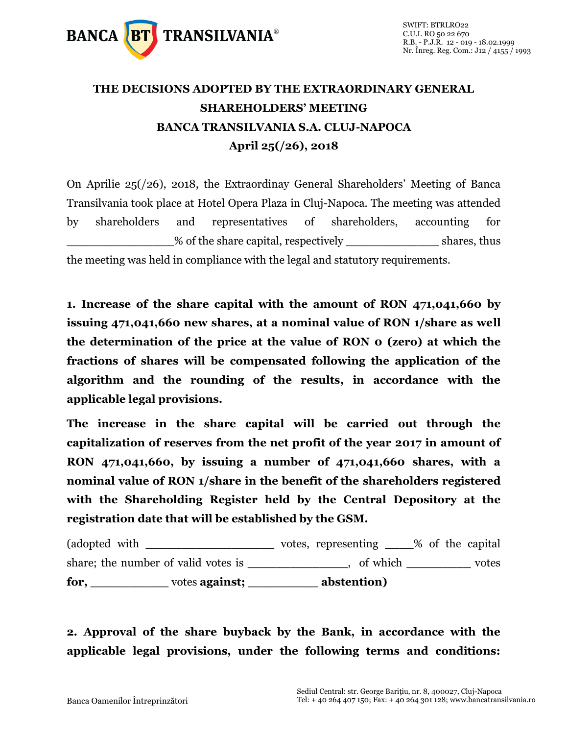

## **THE DECISIONS ADOPTED BY THE EXTRAORDINARY GENERAL SHAREHOLDERS' MEETING BANCA TRANSILVANIA S.A. CLUJ-NAPOCA April 25(/26), 2018**

On Aprilie 25(/26), 2018, the Extraordinay General Shareholders' Meeting of Banca Transilvania took place at Hotel Opera Plaza in Cluj-Napoca. The meeting was attended by shareholders and representatives of shareholders, accounting for % of the share capital, respectively shares, thus the meeting was held in compliance with the legal and statutory requirements.

**1. Increase of the share capital with the amount of RON 471,041,660 by issuing 471,041,660 new shares, at a nominal value of RON 1/share as well the determination of the price at the value of RON 0 (zero) at which the fractions of shares will be compensated following the application of the algorithm and the rounding of the results, in accordance with the applicable legal provisions.** 

**The increase in the share capital will be carried out through the capitalization of reserves from the net profit of the year 2017 in amount of RON 471,041,660, by issuing a number of 471,041,660 shares, with a nominal value of RON 1/share in the benefit of the shareholders registered with the Shareholding Register held by the Central Depository at the registration date that will be established by the GSM.**

(adopted with  $\qquad \qquad \qquad \text{votes, representing } \qquad \qquad \text{\% of the capital}$ share; the number of valid votes is \_\_\_\_\_\_\_\_\_\_\_\_, of which \_\_\_\_\_\_\_\_\_ votes **for, \_\_\_\_\_\_\_\_\_\_** votes **against; \_\_\_\_\_\_\_\_\_ abstention)**

**2. Approval of the share buyback by the Bank, in accordance with the applicable legal provisions, under the following terms and conditions:**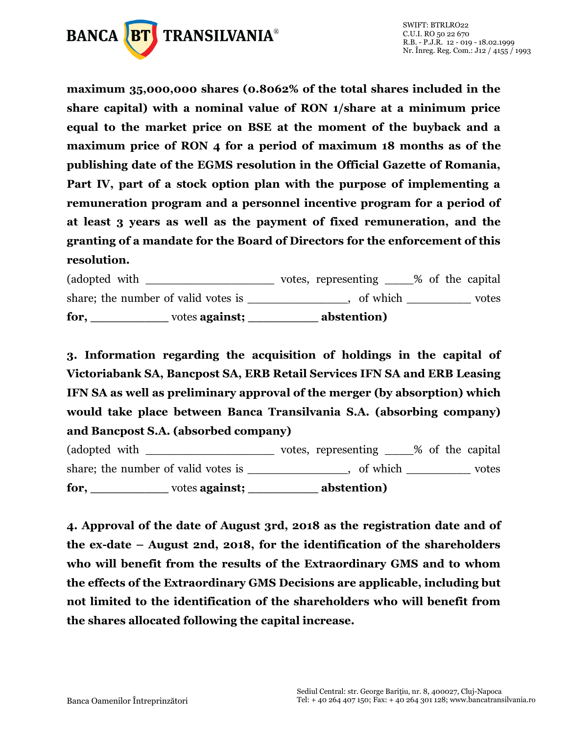

**maximum 35,000,000 shares (0.8062% of the total shares included in the share capital) with a nominal value of RON 1/share at a minimum price equal to the market price on BSE at the moment of the buyback and a maximum price of RON 4 for a period of maximum 18 months as of the publishing date of the EGMS resolution in the Official Gazette of Romania, Part IV, part of a stock option plan with the purpose of implementing a remuneration program and a personnel incentive program for a period of at least 3 years as well as the payment of fixed remuneration, and the granting of a mandate for the Board of Directors for the enforcement of this resolution.**

(adopted with \_\_\_\_\_\_\_\_\_\_\_\_\_\_\_\_\_\_\_\_\_\_\_ votes, representing \_\_\_\_% of the capital share; the number of valid votes is \_\_\_\_\_\_\_\_\_\_\_\_\_, of which \_\_\_\_\_\_\_\_\_\_ votes **for, \_\_\_\_\_\_\_\_\_\_** votes **against; \_\_\_\_\_\_\_\_\_ abstention)**

**3. Information regarding the acquisition of holdings in the capital of Victoriabank SA, Bancpost SA, ERB Retail Services IFN SA and ERB Leasing IFN SA as well as preliminary approval of the merger (by absorption) which would take place between Banca Transilvania S.A. (absorbing company) and Bancpost S.A. (absorbed company)**

(adopted with \_\_\_\_\_\_\_\_\_\_\_\_\_\_\_\_\_\_\_\_\_\_ votes, representing \_\_\_\_% of the capital share; the number of valid votes is \_\_\_\_\_\_\_\_\_\_\_\_, of which \_\_\_\_\_\_\_\_\_\_ votes **for, \_\_\_\_\_\_\_\_\_\_** votes **against; \_\_\_\_\_\_\_\_\_ abstention)**

**4. Approval of the date of August 3rd, 2018 as the registration date and of the ex-date – August 2nd, 2018, for the identification of the shareholders who will benefit from the results of the Extraordinary GMS and to whom the effects of the Extraordinary GMS Decisions are applicable, including but not limited to the identification of the shareholders who will benefit from the shares allocated following the capital increase.**